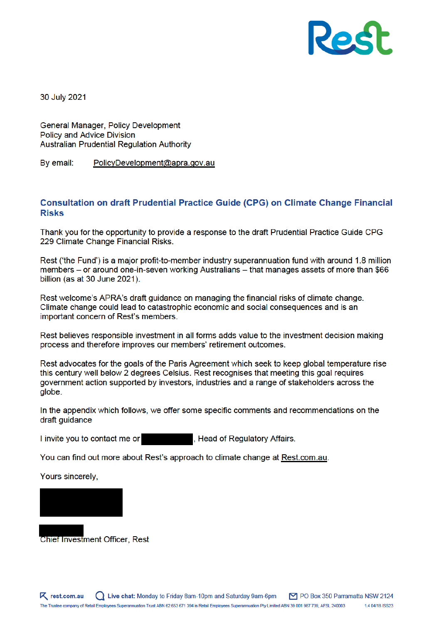

30 July 2021

General Manager, Policy Development **Policy and Advice Division Australian Prudential Requlation Authority** 

By email: PolicyDevelopment@apra.gov.au

### **Consultation on draft Prudential Practice Guide (CPG) on Climate Change Financial Risks**

Thank you for the opportunity to provide a response to the draft Prudential Practice Guide CPG 229 Climate Change Financial Risks.

Rest ('the Fund') is a major profit-to-member industry superannuation fund with around 1.8 million members – or around one-in-seven working Australians – that manages assets of more than \$66 billion (as at 30 June 2021).

Rest welcome's APRA's draft quidance on managing the financial risks of climate change. Climate change could lead to catastrophic economic and social consequences and is an important concern of Rest's members.

Rest believes responsible investment in all forms adds value to the investment decision making process and therefore improves our members' retirement outcomes.

Rest advocates for the goals of the Paris Agreement which seek to keep global temperature rise this century well below 2 degrees Celsius. Rest recognises that meeting this goal reguires government action supported by investors, industries and a range of stakeholders across the alobe.

In the appendix which follows, we offer some specific comments and recommendations on the draft quidance

I invite you to contact me or , Head of Regulatory Affairs.

You can find out more about Rest's approach to climate change at Rest.com.au.

Yours sincerely.



**Chief Investment Officer, Rest**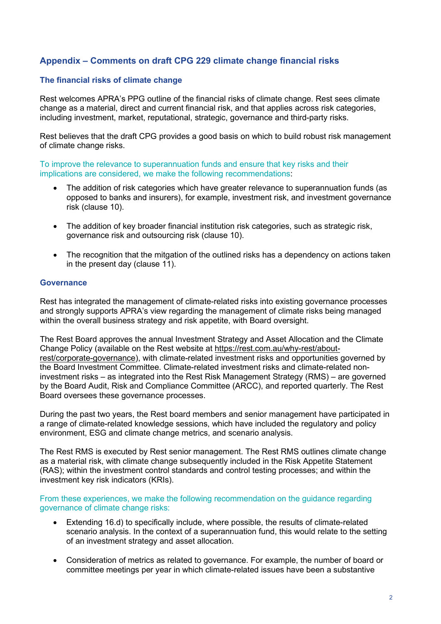# **Appendix – Comments on draft CPG 229 climate change financial risks**

## **The financial risks of climate change**

Rest welcomes APRA's PPG outline of the financial risks of climate change. Rest sees climate change as a material, direct and current financial risk, and that applies across risk categories, including investment, market, reputational, strategic, governance and third-party risks.

Rest believes that the draft CPG provides a good basis on which to build robust risk management of climate change risks.

To improve the relevance to superannuation funds and ensure that key risks and their implications are considered, we make the following recommendations:

- The addition of risk categories which have greater relevance to superannuation funds (as opposed to banks and insurers), for example, investment risk, and investment governance risk (clause 10).
- The addition of key broader financial institution risk categories, such as strategic risk, governance risk and outsourcing risk (clause 10).
- The recognition that the mitgation of the outlined risks has a dependency on actions taken in the present day (clause 11).

#### **Governance**

Rest has integrated the management of climate-related risks into existing governance processes and strongly supports APRA's view regarding the management of climate risks being managed within the overall business strategy and risk appetite, with Board oversight.

The Rest Board approves the annual Investment Strategy and Asset Allocation and the Climate Change Policy (available on the Rest website at https://rest.com.au/why-rest/aboutrest/corporate-governance), with climate-related investment risks and opportunities governed by the Board Investment Committee. Climate-related investment risks and climate-related noninvestment risks – as integrated into the Rest Risk Management Strategy (RMS) – are governed by the Board Audit, Risk and Compliance Committee (ARCC), and reported quarterly. The Rest Board oversees these governance processes.

During the past two years, the Rest board members and senior management have participated in a range of climate-related knowledge sessions, which have included the regulatory and policy environment, ESG and climate change metrics, and scenario analysis.

The Rest RMS is executed by Rest senior management. The Rest RMS outlines climate change as a material risk, with climate change subsequently included in the Risk Appetite Statement (RAS); within the investment control standards and control testing processes; and within the investment key risk indicators (KRIs).

From these experiences, we make the following recommendation on the guidance regarding governance of climate change risks:

- Extending 16.d) to specifically include, where possible, the results of climate-related scenario analysis. In the context of a superannuation fund, this would relate to the setting of an investment strategy and asset allocation.
- Consideration of metrics as related to governance. For example, the number of board or committee meetings per year in which climate-related issues have been a substantive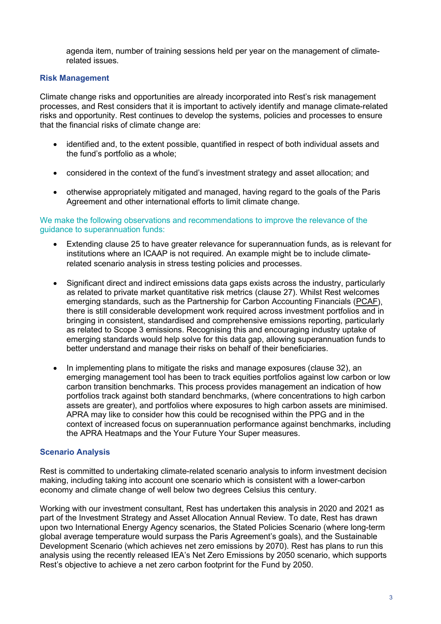agenda item, number of training sessions held per year on the management of climaterelated issues.

### **Risk Management**

Climate change risks and opportunities are already incorporated into Rest's risk management processes, and Rest considers that it is important to actively identify and manage climate-related risks and opportunity. Rest continues to develop the systems, policies and processes to ensure that the financial risks of climate change are:

- identified and, to the extent possible, quantified in respect of both individual assets and the fund's portfolio as a whole;
- considered in the context of the fund's investment strategy and asset allocation; and
- otherwise appropriately mitigated and managed, having regard to the goals of the Paris Agreement and other international efforts to limit climate change.

#### We make the following observations and recommendations to improve the relevance of the guidance to superannuation funds:

- Extending clause 25 to have greater relevance for superannuation funds, as is relevant for institutions where an ICAAP is not required. An example might be to include climaterelated scenario analysis in stress testing policies and processes.
- Significant direct and indirect emissions data gaps exists across the industry, particularly as related to private market quantitative risk metrics (clause 27). Whilst Rest welcomes emerging standards, such as the Partnership for Carbon Accounting Financials (PCAF), there is still considerable development work required across investment portfolios and in bringing in consistent, standardised and comprehensive emissions reporting, particularly as related to Scope 3 emissions. Recognising this and encouraging industry uptake of emerging standards would help solve for this data gap, allowing superannuation funds to better understand and manage their risks on behalf of their beneficiaries.
- In implementing plans to mitigate the risks and manage exposures (clause 32), an emerging management tool has been to track equities portfolios against low carbon or low carbon transition benchmarks. This process provides management an indication of how portfolios track against both standard benchmarks, (where concentrations to high carbon assets are greater), and portfolios where exposures to high carbon assets are minimised. APRA may like to consider how this could be recognised within the PPG and in the context of increased focus on superannuation performance against benchmarks, including the APRA Heatmaps and the Your Future Your Super measures.

#### **Scenario Analysis**

Rest is committed to undertaking climate-related scenario analysis to inform investment decision making, including taking into account one scenario which is consistent with a lower-carbon economy and climate change of well below two degrees Celsius this century.

Working with our investment consultant, Rest has undertaken this analysis in 2020 and 2021 as part of the Investment Strategy and Asset Allocation Annual Review. To date, Rest has drawn upon two International Energy Agency scenarios, the Stated Policies Scenario (where long-term global average temperature would surpass the Paris Agreement's goals), and the Sustainable Development Scenario (which achieves net zero emissions by 2070). Rest has plans to run this analysis using the recently released IEA's Net Zero Emissions by 2050 scenario, which supports Rest's objective to achieve a net zero carbon footprint for the Fund by 2050.